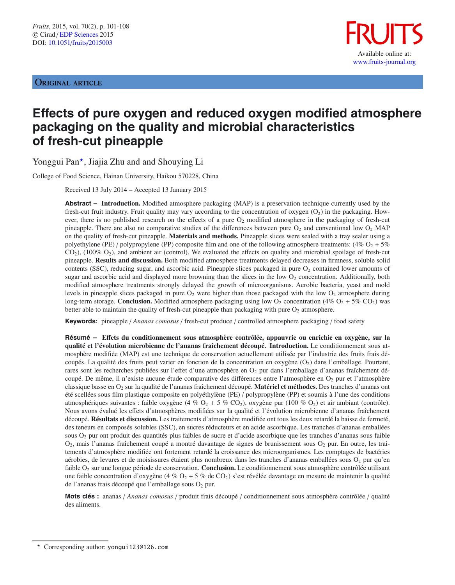# ORIGINAL ARTICLE



# **Effects of pure oxygen and reduced oxygen modified atmosphere packaging on the quality and microbial characteristics of fresh-cut pineapple**

Yonggui Pan\*, Jiajia Zhu and and Shouying Li

College of Food Science, Hainan University, Haikou 570228, China

Received 13 July 2014 – Accepted 13 January 2015

**Abstract – Introduction.** Modified atmosphere packaging (MAP) is a preservation technique currently used by the fresh-cut fruit industry. Fruit quality may vary according to the concentration of oxygen  $(O_2)$  in the packaging. However, there is no published research on the effects of a pure  $O_2$  modified atmosphere in the packaging of fresh-cut pineapple. There are also no comparative studies of the differences between pure  $O_2$  and conventional low  $O_2$  MAP on the quality of fresh-cut pineapple. **Materials and methods.** Pineapple slices were sealed with a tray sealer using a polyethylene (PE) / polypropylene (PP) composite film and one of the following atmosphere treatments: (4%  $O_2$  + 5%  $CO<sub>2</sub>$ ), (100%  $O<sub>2</sub>$ ), and ambient air (control). We evaluated the effects on quality and microbial spoilage of fresh-cut pineapple. **Results and discussion.** Both modified atmosphere treatments delayed decreases in firmness, soluble solid contents (SSC), reducing sugar, and ascorbic acid. Pineapple slices packaged in pure  $O<sub>2</sub>$  contained lower amounts of sugar and ascorbic acid and displayed more browning than the slices in the low  $O<sub>2</sub>$  concentration. Additionally, both modified atmosphere treatments strongly delayed the growth of microorganisms. Aerobic bacteria, yeast and mold levels in pineapple slices packaged in pure  $O_2$  were higher than those packaged with the low  $O_2$  atmosphere during long-term storage. **Conclusion.** Modified atmosphere packaging using low  $O_2$  concentration (4%  $O_2$  + 5% CO<sub>2</sub>) was better able to maintain the quality of fresh-cut pineapple than packaging with pure  $O_2$  atmosphere.

**Keywords:** pineapple / *Ananas comosus* / fresh-cut produce / controlled atmosphere packaging / food safety

**Résumé – E**ff**ets du conditionnement sous atmosphère contrôlée, appauvrie ou enrichie en oxygène, sur la qualité et l'évolution microbienne de l'ananas fraîchement découpé. Introduction.** Le conditionnement sous atmosphère modifiée (MAP) est une technique de conservation actuellement utilisée par l'industrie des fruits frais découpés. La qualité des fruits peut varier en fonction de la concentration en oxygène  $(O_2)$  dans l'emballage. Pourtant, rares sont les recherches publiées sur l'effet d'une atmosphère en O<sub>2</sub> pur dans l'emballage d'ananas fraîchement découpé. De même, il n'existe aucune étude comparative des différences entre l'atmosphère en  $O_2$  pur et l'atmosphère classique basse en O<sub>2</sub> sur la qualité de l'ananas fraîchement découpé. Matériel et méthodes. Des tranches d'ananas ont été scellées sous film plastique composite en polyéthylène (PE) / polypropylène (PP) et soumis à l'une des conditions atmosphériques suivantes : faible oxygène (4 %  $O_2$  + 5 %  $CO_2$ ), oxygène pur (100 %  $O_2$ ) et air ambiant (contrôle). Nous avons évalué les effets d'atmosphères modifiées sur la qualité et l'évolution microbienne d'ananas fraîchement découpé. **Résultats et discussion.** Les traitements d'atmosphère modifiée ont tous les deux retardé la baisse de fermeté, des teneurs en composés solubles (SSC), en sucres réducteurs et en acide ascorbique. Les tranches d'ananas emballées sous  $O<sub>2</sub>$  pur ont produit des quantités plus faibles de sucre et d'acide ascorbique que les tranches d'ananas sous faible  $O_2$ , mais l'ananas fraîchement coupé a montré davantage de signes de brunissement sous  $O_2$  pur. En outre, les traitements d'atmosphère modifiée ont fortement retardé la croissance des microorganismes. Les comptages de bactéries aérobies, de levures et de moisissures étaient plus nombreux dans les tranches d'ananas emballées sous  $O_2$  pur qu'en faible O2 sur une longue période de conservation. **Conclusion.** Le conditionnement sous atmosphère contrôlée utilisant une faible concentration d'oxygène (4 %  $O_2$  + 5 % de CO<sub>2</sub>) s'est révélée davantage en mesure de maintenir la qualité de l'ananas frais découpé que l'emballage sous  $O_2$  pur.

**Mots clés :** ananas / *Ananas comosus* / produit frais découpé / conditionnement sous atmosphère contrôlée / qualité des aliments.

 $\star$ Corresponding author: yongui123@126.com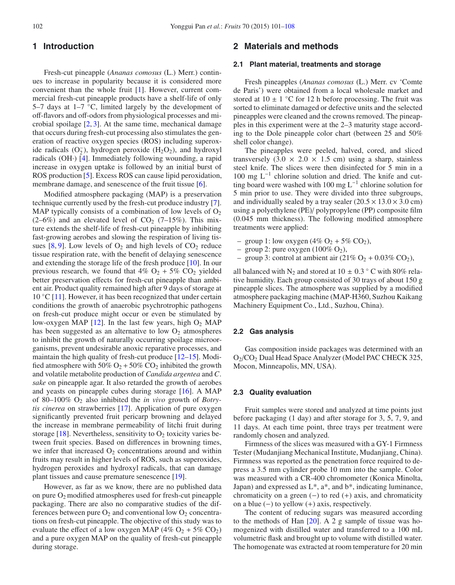# **1 Introduction**

Fresh-cut pineapple (*Ananas comosus* (L.) Merr.) continues to increase in popularity because it is considered more convenient than the whole fruit [\[1](#page-6-0)]. However, current commercial fresh-cut pineapple products have a shelf-life of only 5–7 days at 1–7  $°C$ , limited largely by the development of off-flavors and off-odors from physiological processes and microbial spoilage [\[2,](#page-6-1) [3\]](#page-6-2). At the same time, mechanical damage that occurs during fresh-cut processing also stimulates the generation of reactive oxygen species (ROS) including superoxide radicals  $(O_2^-)$ , hydrogen peroxide  $(H_2O_2)$ , and hydroxyl radicals (OH·) [\[4\]](#page-6-3). Immediately following wounding, a rapid increase in oxygen uptake is followed by an initial burst of ROS production [\[5](#page-6-4)]. Excess ROS can cause lipid peroxidation, membrane damage, and senescence of the fruit tissue [\[6](#page-6-5)].

Modified atmosphere packaging (MAP) is a preservation technique currently used by the fresh-cut produce industry [\[7](#page-6-6)]. MAP typically consists of a combination of low levels of  $O<sub>2</sub>$  $(2–6%)$  and an elevated level of CO<sub>2</sub>  $(7–15%)$ . This mixture extends the shelf-life of fresh-cut pineapple by inhibiting fast-growing aerobes and slowing the respiration of living tissues  $[8, 9]$  $[8, 9]$  $[8, 9]$ . Low levels of  $O_2$  and high levels of  $CO_2$  reduce tissue respiration rate, with the benefit of delaying senescence and extending the storage life of the fresh produce [\[10\]](#page-6-9). In our previous research, we found that  $4\%$  O<sub>2</sub> + 5% CO<sub>2</sub> yielded better preservation effects for fresh-cut pineapple than ambient air. Product quality remained high after 9 days of storage at  $10^{\circ}$ C [\[11](#page-6-10)]. However, it has been recognized that under certain conditions the growth of anaerobic psychrotrophic pathogens on fresh-cut produce might occur or even be stimulated by low-oxygen MAP  $[12]$  $[12]$ . In the last few years, high  $O<sub>2</sub>$  MAP has been suggested as an alternative to low  $O_2$  atmospheres to inhibit the growth of naturally occurring spoilage microorganisms, prevent undesirable anoxic reparative processes, and maintain the high quality of fresh-cut produce [\[12](#page-6-11)[–15\]](#page-6-12). Modified atmosphere with 50%  $O_2$  + 50%  $CO_2$  inhibited the growth and volatile metabolite production of *Candida argentea* and *C*. *sake* on pineapple agar. It also retarded the growth of aerobes and yeasts on pineapple cubes during storage [\[16\]](#page-6-13). A MAP of 80–100% O2 also inhibited the *in vivo* growth of *Botrytis cinerea* on strawberries [\[17\]](#page-6-14). Application of pure oxygen significantly prevented fruit pericarp browning and delayed the increase in membrane permeability of litchi fruit during storage [\[18](#page-6-15)]. Nevertheless, sensitivity to  $O_2$  toxicity varies between fruit species. Based on differences in browning times, we infer that increased  $O_2$  concentrations around and within fruits may result in higher levels of ROS, such as superoxides, hydrogen peroxides and hydroxyl radicals, that can damage plant tissues and cause premature senescence [\[19\]](#page-6-16).

However, as far as we know, there are no published data on pure  $O_2$  modified atmospheres used for fresh-cut pineapple packaging. There are also no comparative studies of the differences between pure  $O_2$  and conventional low  $O_2$  concentrations on fresh-cut pineapple. The objective of this study was to evaluate the effect of a low oxygen MAP (4%  $O_2$  + 5%  $CO_2$ ) and a pure oxygen MAP on the quality of fresh-cut pineapple during storage.

# **2 Materials and methods**

#### **2.1 Plant material, treatments and storage**

Fresh pineapples (*Ananas comosus* (L.) Merr. cv 'Comte de Paris') were obtained from a local wholesale market and stored at  $10 \pm 1$  °C for 12 h before processing. The fruit was sorted to eliminate damaged or defective units and the selected pineapples were cleaned and the crowns removed. The pineapples in this experiment were at the 2–3 maturity stage according to the Dole pineapple color chart (between 25 and 50% shell color change).

The pineapples were peeled, halved, cored, and sliced transversely  $(3.0 \times 2.0 \times 1.5 \text{ cm})$  using a sharp, stainless steel knife. The slices were then disinfected for 5 min in a 100 mg L−<sup>1</sup> chlorine solution and dried. The knife and cutting board were washed with 100 mg  $L^{-1}$  chlorine solution for 5 min prior to use. They were divided into three subgroups, and individually sealed by a tray sealer  $(20.5 \times 13.0 \times 3.0 \text{ cm})$ using a polyethylene (PE)/ polypropylene (PP) composite film (0.045 mm thickness). The following modified atmosphere treatments were applied:

- group 1: low oxygen (4%  $O_2$  + 5%  $CO_2$ ),
- group 2: pure oxygen  $(100\% \text{ O}_2)$ ,
- group 3: control at ambient air  $(21\% O_2 + 0.03\% CO_2)$ ,

all balanced with N<sub>2</sub> and stored at 10  $\pm$  0.3 ° C with 80% relative humidity. Each group consisted of 30 trays of about 150 g pineapple slices. The atmosphere was supplied by a modified atmosphere packaging machine (MAP-H360, Suzhou Kaikang Machinery Equipment Co., Ltd., Suzhou, China).

#### **2.2 Gas analysis**

Gas composition inside packages was determined with an O2/CO2 Dual Head Space Analyzer (Model PAC CHECK 325, Mocon, Minneapolis, MN, USA).

## **2.3 Quality evaluation**

Fruit samples were stored and analyzed at time points just before packaging (1 day) and after storage for 3, 5, 7, 9, and 11 days. At each time point, three trays per treatment were randomly chosen and analyzed.

Firmness of the slices was measured with a GY-1 Firmness Tester (Mudanjiang Mechanical Institute, Mudanjiang, China). Firmness was reported as the penetration force required to depress a 3.5 mm cylinder probe 10 mm into the sample. Color was measured with a CR-400 chromometer (Konica Minolta, Japan) and expressed as  $L^*$ ,  $a^*$ , and  $b^*$ , indicating luminance, chromaticity on a green  $(-)$  to red  $(+)$  axis, and chromaticity on a blue  $(-)$  to yellow  $(+)$  axis, respectively.

The content of reducing sugars was measured according to the methods of Han [\[20\]](#page-6-17). A 2 g sample of tissue was homogenized with distilled water and transferred to a 100 mL volumetric flask and brought up to volume with distilled water. The homogenate was extracted at room temperature for 20 min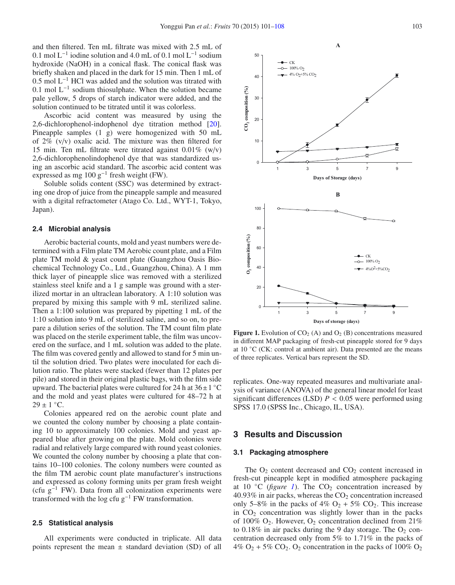and then filtered. Ten mL filtrate was mixed with 2.5 mL of 0.1 mol L−<sup>1</sup> iodine solution and 4.0 mL of 0.1 mol L−<sup>1</sup> sodium hydroxide (NaOH) in a conical flask. The conical flask was briefly shaken and placed in the dark for 15 min. Then 1 mL of 0.5 mol L−<sup>1</sup> HCl was added and the solution was titrated with 0.1 mol  $L^{-1}$  sodium thiosulphate. When the solution became pale yellow, 5 drops of starch indicator were added, and the solution continued to be titrated until it was colorless.

Ascorbic acid content was measured by using the 2,6-dichlorophenol-indophenol dye titration method [\[20](#page-6-17)]. Pineapple samples (1 g) were homogenized with 50 mL of 2% (v/v) oxalic acid. The mixture was then filtered for 15 min. Ten mL filtrate were titrated against 0.01% (w/v) 2,6-dichlorophenolindophenol dye that was standardized using an ascorbic acid standard. The ascorbic acid content was expressed as mg  $100 \text{ g}^{-1}$  fresh weight (FW).

Soluble solids content (SSC) was determined by extracting one drop of juice from the pineapple sample and measured with a digital refractometer (Atago Co. Ltd., WYT-1, Tokyo, Japan).

#### **2.4 Microbial analysis**

Aerobic bacterial counts, mold and yeast numbers were determined with a Film plate TM Aerobic count plate, and a Film plate TM mold & yeast count plate (Guangzhou Oasis Biochemical Technology Co., Ltd., Guangzhou, China). A 1 mm thick layer of pineapple slice was removed with a sterilized stainless steel knife and a 1 g sample was ground with a sterilized mortar in an ultraclean laboratory. A 1:10 solution was prepared by mixing this sample with 9 mL sterilized saline. Then a 1:100 solution was prepared by pipetting 1 mL of the 1:10 solution into 9 mL of sterilized saline, and so on, to prepare a dilution series of the solution. The TM count film plate was placed on the sterile experiment table, the film was uncovered on the surface, and 1 mL solution was added to the plate. The film was covered gently and allowed to stand for 5 min until the solution dried. Two plates were inoculated for each dilution ratio. The plates were stacked (fewer than 12 plates per pile) and stored in their original plastic bags, with the film side upward. The bacterial plates were cultured for 24 h at  $36 \pm 1 \degree C$ and the mold and yeast plates were cultured for 48–72 h at  $29 \pm 1$  °C.

Colonies appeared red on the aerobic count plate and we counted the colony number by choosing a plate containing 10 to approximately 100 colonies. Mold and yeast appeared blue after growing on the plate. Mold colonies were radial and relatively large compared with round yeast colonies. We counted the colony number by choosing a plate that contains 10–100 colonies. The colony numbers were counted as the film TM aerobic count plate manufacturer's instructions and expressed as colony forming units per gram fresh weight (cfu  $g^{-1}$  FW). Data from all colonization experiments were transformed with the log cfu g−<sup>1</sup> FW transformation.

#### **2.5 Statistical analysis**

All experiments were conducted in triplicate. All data points represent the mean  $\pm$  standard deviation (SD) of all

<span id="page-2-0"></span>**Figure 1.** Evolution of  $CO<sub>2</sub>$  (A) and  $O<sub>2</sub>$  (B) concentrations measured in different MAP packaging of fresh-cut pineapple stored for 9 days at 10 ◦C (CK: control at ambient air). Data presented are the means of three replicates. Vertical bars represent the SD.

replicates. One-way repeated measures and multivariate analysis of variance (ANOVA) of the general linear model for least significant differences (LSD)  $P < 0.05$  were performed using SPSS 17.0 (SPSS Inc., Chicago, IL, USA).

# **3 Results and Discussion**

#### **3.1 Packaging atmosphere**

The  $O_2$  content decreased and  $CO_2$  content increased in fresh-cut pineapple kept in modified atmosphere packaging at [1](#page-2-0)0  $°C$  (*figure 1*). The  $CO<sub>2</sub>$  concentration increased by  $40.93\%$  in air packs, whereas the  $CO<sub>2</sub>$  concentration increased only 5–8% in the packs of 4%  $O_2$  + 5%  $CO_2$ . This increase in  $CO<sub>2</sub>$  concentration was slightly lower than in the packs of 100%  $O_2$ . However,  $O_2$  concentration declined from 21% to  $0.18\%$  in air packs during the 9 day storage. The  $O_2$  concentration decreased only from 5% to 1.71% in the packs of 4%  $O_2$  + 5%  $CO_2$ .  $O_2$  concentration in the packs of 100%  $O_2$ 

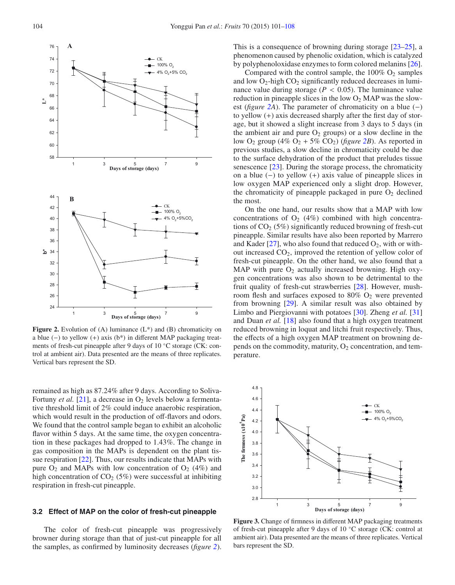

<span id="page-3-0"></span>**Figure 2.** Evolution of (A) luminance  $(L^*)$  and  $(B)$  chromaticity on a blue (−) to yellow (+) axis (b\*) in different MAP packaging treatments of fresh-cut pineapple after 9 days of 10 ◦C storage (CK: control at ambient air). Data presented are the means of three replicates. Vertical bars represent the SD.

remained as high as 87.24% after 9 days. According to Soliva-Fortuny *et al.* [\[21](#page-6-18)], a decrease in  $O_2$  levels below a fermentative threshold limit of 2% could induce anaerobic respiration, which would result in the production of off-flavors and odors. We found that the control sample began to exhibit an alcoholic flavor within 5 days. At the same time, the oxygen concentration in these packages had dropped to 1.43%. The change in gas composition in the MAPs is dependent on the plant tissue respiration [\[22\]](#page-6-19). Thus, our results indicate that MAPs with pure  $O_2$  and MAPs with low concentration of  $O_2$  (4%) and high concentration of  $CO<sub>2</sub>$  (5%) were successful at inhibiting respiration in fresh-cut pineapple.

## **3.2 Effect of MAP on the color of fresh-cut pineapple**

The color of fresh-cut pineapple was progressively browner during storage than that of just-cut pineapple for all the samples, as confirmed by luminosity decreases (*figure [2](#page-3-0)*). This is a consequence of browning during storage [\[23–](#page-6-20)[25\]](#page-6-21), a phenomenon caused by phenolic oxidation, which is catalyzed by polyphenoloxidase enzymes to form colored melanins [\[26](#page-6-22)].

Compared with the control sample, the  $100\%$  O<sub>2</sub> samples and low  $O_2$ -high  $CO_2$  significantly reduced decreases in luminance value during storage ( $P < 0.05$ ). The luminance value reduction in pineapple slices in the low  $O<sub>2</sub>$  MAP was the slowest (*figure [2A](#page-3-0)*). The parameter of chromaticity on a blue (−) to yellow (+) axis decreased sharply after the first day of storage, but it showed a slight increase from 3 days to 5 days (in the ambient air and pure  $O_2$  groups) or a slow decline in the low  $O_2$  group (4%  $O_2$  + 5%  $CO_2$ ) (*figure* 2*B*). As reported in previous studies, a slow decline in chromaticity could be due to the surface dehydration of the product that preludes tissue senescence  $[23]$ . During the storage process, the chromaticity on a blue (−) to yellow (+) axis value of pineapple slices in low oxygen MAP experienced only a slight drop. However, the chromaticity of pineapple packaged in pure  $O_2$  declined the most.

On the one hand, our results show that a MAP with low concentrations of  $O_2$  (4%) combined with high concentrations of  $CO<sub>2</sub>$  (5%) significantly reduced browning of fresh-cut pineapple. Similar results have also been reported by Marrero and Kader [\[27](#page-6-23)], who also found that reduced  $O_2$ , with or without increased  $CO<sub>2</sub>$ , improved the retention of yellow color of fresh-cut pineapple. On the other hand, we also found that a MAP with pure  $O_2$  actually increased browning. High oxygen concentrations was also shown to be detrimental to the fruit quality of fresh-cut strawberries [\[28](#page-6-24)]. However, mushroom flesh and surfaces exposed to  $80\%$  O<sub>2</sub> were prevented from browning [\[29\]](#page-6-25). A similar result was also obtained by Limbo and Piergiovanni with potatoes [\[30\]](#page-6-26). Zheng *et al.* [\[31\]](#page-6-27) and Duan *et al.* [\[18\]](#page-6-15) also found that a high oxygen treatment reduced browning in loquat and litchi fruit respectively. Thus, the effects of a high oxygen MAP treatment on browning depends on the commodity, maturity,  $O_2$  concentration, and temperature.

<span id="page-3-1"></span>

**Figure 3.** Change of firmness in different MAP packaging treatments of fresh-cut pineapple after 9 days of 10 ◦C storage (CK: control at ambient air). Data presented are the means of three replicates. Vertical bars represent the SD.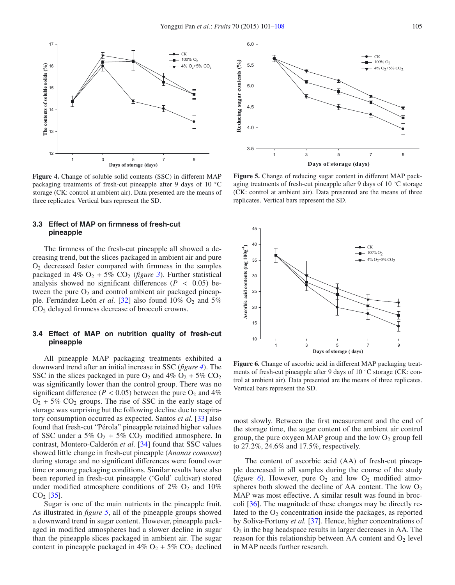<span id="page-4-0"></span>

**Figure 4.** Change of soluble solid contents (SSC) in different MAP packaging treatments of fresh-cut pineapple after 9 days of 10 ◦C storage (CK: control at ambient air). Data presented are the means of three replicates. Vertical bars represent the SD.

## **3.3 Effect of MAP on firmness of fresh-cut pineapple**

The firmness of the fresh-cut pineapple all showed a decreasing trend, but the slices packaged in ambient air and pure  $O<sub>2</sub>$  decreased faster compared with firmness in the samples packaged in 4%  $O_2$  + 5%  $CO_2$  (*figure* [3](#page-3-1)). Further statistical analysis showed no significant differences ( $P < 0.05$ ) between the pure  $O_2$  and control ambient air packaged pineapple. Fernández-León *et al.* [\[32](#page-6-28)] also found 10% O<sub>2</sub> and 5% CO2 delayed firmness decrease of broccoli crowns.

## **3.4 Effect of MAP on nutrition quality of fresh-cut pineapple**

All pineapple MAP packaging treatments exhibited a downward trend after an initial increase in SSC (*figure [4](#page-4-0)*). The SSC in the slices packaged in pure  $O_2$  and  $4\%$   $O_2$  + 5%  $CO_2$ was significantly lower than the control group. There was no significant difference ( $P < 0.05$ ) between the pure O<sub>2</sub> and 4%  $O_2$  + 5%  $CO_2$  groups. The rise of SSC in the early stage of storage was surprising but the following decline due to respiratory consumption occurred as expected. Santos *et al.* [\[33](#page-7-1)] also found that fresh-cut "Pérola" pineapple retained higher values of SSC under a 5%  $O_2$  + 5%  $CO_2$  modified atmosphere. In contrast, Montero-Calderón *et al.* [\[34\]](#page-7-2) found that SSC values showed little change in fresh-cut pineapple (*Ananas comosus*) during storage and no significant differences were found over time or among packaging conditions. Similar results have also been reported in fresh-cut pineapple ('Gold' cultivar) stored under modified atmosphere conditions of  $2\%$  O<sub>2</sub> and  $10\%$  $CO<sub>2</sub>$  [\[35](#page-7-3)].

Sugar is one of the main nutrients in the pineapple fruit. As illustrated in *figure [5](#page-4-1)*, all of the pineapple groups showed a downward trend in sugar content. However, pineapple packaged in modified atmospheres had a slower decline in sugar than the pineapple slices packaged in ambient air. The sugar content in pineapple packaged in  $4\%$  O<sub>2</sub> + 5% CO<sub>2</sub> declined

<span id="page-4-1"></span>

**Figure 5.** Change of reducing sugar content in different MAP packaging treatments of fresh-cut pineapple after 9 days of 10 ◦C storage (CK: control at ambient air). Data presented are the means of three replicates. Vertical bars represent the SD.

<span id="page-4-2"></span>

**Figure 6.** Change of ascorbic acid in different MAP packaging treatments of fresh-cut pineapple after 9 days of 10 ◦C storage (CK: control at ambient air). Data presented are the means of three replicates. Vertical bars represent the SD.

most slowly. Between the first measurement and the end of the storage time, the sugar content of the ambient air control group, the pure oxygen MAP group and the low  $O_2$  group fell to 27.2%, 24.6% and 17.5%, respectively.

The content of ascorbic acid (AA) of fresh-cut pineapple decreased in all samples during the course of the study ( $figure\ 6$  $figure\ 6$ ). However, pure  $O_2$  and low  $O_2$  modified atmospheres both slowed the decline of AA content. The low  $O_2$ MAP was most effective. A similar result was found in broccoli [\[36\]](#page-7-4). The magnitude of these changes may be directly related to the  $O_2$  concentration inside the packages, as reported by Soliva-Fortuny *et al.* [\[37\]](#page-7-5). Hence, higher concentrations of  $O<sub>2</sub>$  in the bag headspace results in larger decreases in AA. The reason for this relationship between AA content and  $O_2$  level in MAP needs further research.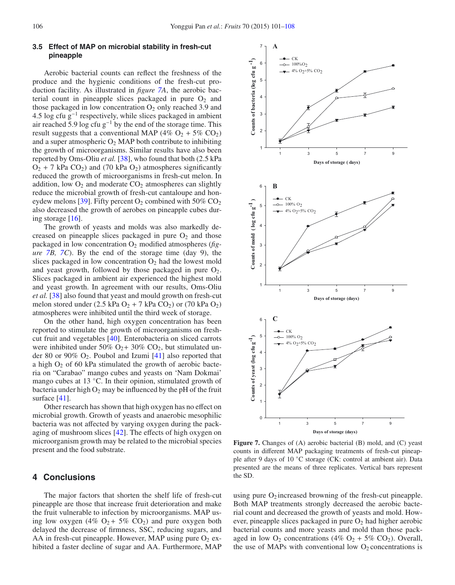## **3.5 Effect of MAP on microbial stability in fresh-cut pineapple**

Aerobic bacterial counts can reflect the freshness of the produce and the hygienic conditions of the fresh-cut production facility. As illustrated in *figure [7A](#page-5-0)*, the aerobic bacterial count in pineapple slices packaged in pure  $O_2$  and those packaged in low concentration  $O_2$  only reached 3.9 and 4.5 log cfu  $g^{-1}$  respectively, while slices packaged in ambient air reached 5.9 log cfu  $g^{-1}$  by the end of the storage time. This result suggests that a conventional MAP (4%  $O_2$  + 5%  $CO_2$ ) and a super atmospheric  $O_2$  MAP both contribute to inhibiting the growth of microorganisms. Similar results have also been reported by Oms-Oliu *et al.* [\[38](#page-7-6)], who found that both (2.5 kPa  $O_2$  + 7 kPa  $CO_2$ ) and (70 kPa  $O_2$ ) atmospheres significantly reduced the growth of microorganisms in fresh-cut melon. In addition, low  $O_2$  and moderate  $CO_2$  atmospheres can slightly reduce the microbial growth of fresh-cut cantaloupe and hon-eydew melons [\[39\]](#page-7-7). Fifty percent  $O_2$  combined with 50%  $CO_2$ also decreased the growth of aerobes on pineapple cubes during storage  $[16]$ .

The growth of yeasts and molds was also markedly decreased on pineapple slices packaged in pure  $O_2$  and those packaged in low concentration O2 modified atmospheres (*figure [7B](#page-5-0), [7C](#page-5-0)*). By the end of the storage time (day 9), the slices packaged in low concentration  $O_2$  had the lowest mold and yeast growth, followed by those packaged in pure  $O_2$ . Slices packaged in ambient air experienced the highest mold and yeast growth. In agreement with our results, Oms-Oliu *et al.* [\[38\]](#page-7-6) also found that yeast and mould growth on fresh-cut melon stored under  $(2.5 \text{ kPa O}_2 + 7 \text{ kPa CO}_2)$  or  $(70 \text{ kPa O}_2)$ atmospheres were inhibited until the third week of storage.

On the other hand, high oxygen concentration has been reported to stimulate the growth of microorganisms on freshcut fruit and vegetables [\[40\]](#page-7-8). Enterobacteria on sliced carrots were inhibited under 50%  $O_2$ + 30%  $CO_2$ , but stimulated under 80 or 90%  $O_2$ . Poubol and Izumi [\[41](#page-7-9)] also reported that a high  $O_2$  of 60 kPa stimulated the growth of aerobic bacteria on "Carabao" mango cubes and yeasts on 'Nam Dokmai' mango cubes at 13 ℃. In their opinion, stimulated growth of bacteria under high  $O_2$  may be influenced by the pH of the fruit surface [\[41](#page-7-9)].

Other research has shown that high oxygen has no effect on microbial growth. Growth of yeasts and anaerobic mesophilic bacteria was not affected by varying oxygen during the packaging of mushroom slices [\[42\]](#page-7-10). The effects of high oxygen on microorganism growth may be related to the microbial species present and the food substrate.

# **4 Conclusions**

The major factors that shorten the shelf life of fresh-cut pineapple are those that increase fruit deterioration and make the fruit vulnerable to infection by microorganisms. MAP using low oxygen (4%  $O_2$  + 5%  $CO_2$ ) and pure oxygen both delayed the decrease of firmness, SSC, reducing sugars, and AA in fresh-cut pineapple. However, MAP using pure  $O_2$  exhibited a faster decline of sugar and AA. Furthermore, MAP



<span id="page-5-0"></span>**Figure 7.** Changes of (A) aerobic bacterial (B) mold, and (C) yeast counts in different MAP packaging treatments of fresh-cut pineapple after 9 days of 10 ◦C storage (CK: control at ambient air). Data presented are the means of three replicates. Vertical bars represent the SD.

using pure  $O_2$  increased browning of the fresh-cut pineapple. Both MAP treatments strongly decreased the aerobic bacterial count and decreased the growth of yeasts and mold. However, pineapple slices packaged in pure  $O_2$  had higher aerobic bacterial counts and more yeasts and mold than those packaged in low  $O_2$  concentrations (4%  $O_2$  + 5% CO<sub>2</sub>). Overall, the use of MAPs with conventional low  $O_2$  concentrations is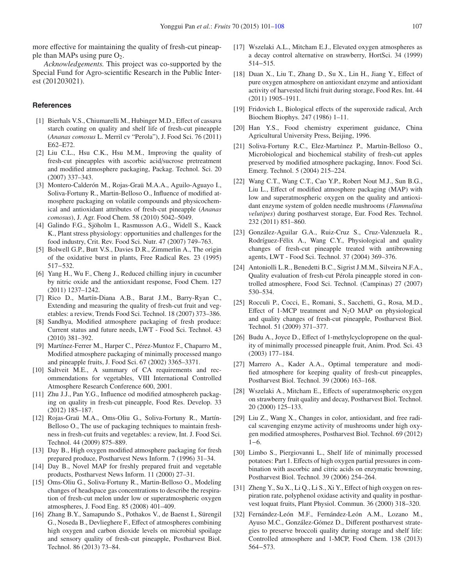more effective for maintaining the quality of fresh-cut pineapple than MAPs using pure  $O_2$ .

*Acknowledgements.* This project was co-supported by the Special Fund for Agro-scientific Research in the Public Interest (201203021).

#### <span id="page-6-0"></span>**References**

- [1] Bierhals V.S., Chiumarelli M., Hubinger M.D., Effect of cassava starch coating on quality and shelf life of fresh-cut pineapple (*Ananas comosus* L. Merril cv "Perola"), J. Food Sci. 76 (2011) E62–E72.
- <span id="page-6-1"></span>[2] Liu C.L., Hsu C.K., Hsu M.M., Improving the quality of fresh-cut pineapples with ascorbic acid/sucrose pretreatment and modified atmosphere packaging, Packag. Technol. Sci. 20 (2007) 337–343.
- <span id="page-6-2"></span>[3] Montero-Calderón M., Rojas-Graü M.A.A., Aguilo-Aguayo I., Soliva-Fortuny R., Martin-Belloso O., Influence of modified atmosphere packaging on volatile compounds and physicochemical and antioxidant attributes of fresh-cut pineapple (*Ananas comosus*), J. Agr. Food Chem. 58 (2010) 5042–5049.
- <span id="page-6-3"></span>[4] Galindo F.G., Sjöholm I., Rasmusson A.G., Widell S., Kaack K., Plant stress physiology: opportunities and challenges for the food industry, Crit. Rev. Food Sci. Nutr. 47 (2007) 749–763.
- <span id="page-6-4"></span>[5] Bolwell G.P., Butt V.S., Davies D.R., Zimmerlin A., The origin of the oxidative burst in plants, Free Radical Res. 23 (1995) 517−532.
- <span id="page-6-5"></span>[6] Yang H., Wu F., Cheng J., Reduced chilling injury in cucumber by nitric oxide and the antioxidant response, Food Chem. 127 (2011) 1237–1242.
- <span id="page-6-6"></span>[7] Rico D., Martín-Diana A.B., Barat J.M., Barry-Ryan C., Extending and measuring the quality of fresh-cut fruit and vegetables: a review, Trends Food Sci. Technol. 18 (2007) 373–386.
- <span id="page-6-7"></span>[8] Sandhya, Modified atmosphere packaging of fresh produce: Current status and future needs, LWT - Food Sci. Technol. 43 (2010) 381–392.
- <span id="page-6-8"></span>[9] Martínez-Ferrer M., Harper C., Pérez-Muntoz F., Chaparro M., Modified atmosphere packaging of minimally processed mango and pineapple fruits, J. Food Sci. 67 (2002) 3365–3371.
- <span id="page-6-9"></span>[10] Saltveit M.E., A summary of CA requirements and recommendations for vegetables, VIII International Controlled Atmosphere Research Conference 600, 2001.
- <span id="page-6-10"></span>[11] Zhu J.J., Pan Y.G., Influence od modified atmosphereh packaging on quality in fresh-cut pineapple, Food Res. Develop. 33 (2012) 185–187.
- <span id="page-6-11"></span>[12] Rojas-Graü M.A., Oms-Oliu G., Soliva-Fortuny R., Martín-Belloso O., The use of packaging techniques to maintain freshness in fresh-cut fruits and vegetables: a review, Int. J. Food Sci. Technol. 44 (2009) 875–889.
- [13] Day B., High oxygen modified atmosphere packaging for fresh prepared produce, Postharvest News Inform. 7 (1996) 31–34.
- [14] Day B., Novel MAP for freshly prepared fruit and vegetable products, Postharvest News Inform. 11 (2000) 27–31.
- <span id="page-6-12"></span>[15] Oms-Oliu G., Soliva-Fortuny R., Martin-Belloso O., Modeling changes of headspace gas concentrations to describe the respiration of fresh-cut melon under low or superatmospheric oxygen atmospheres, J. Food Eng. 85 (2008) 401–409.
- <span id="page-6-13"></span>[16] Zhang B.Y., Samapundo S., Pothakos V., de Baenst I., Sürengil G., Noseda B., Devlieghere F., Effect of atmospheres combining high oxygen and carbon dioxide levels on microbial spoilage and sensory quality of fresh-cut pineapple, Postharvest Biol. Technol. 86 (2013) 73–84.
- <span id="page-6-14"></span>[17] Wszelaki A.L., Mitcham E.J., Elevated oxygen atmospheres as a decay control alternative on strawberry, HortSci. 34 (1999) 514−515.
- <span id="page-6-15"></span>[18] Duan X., Liu T., Zhang D., Su X., Lin H., Jiang Y., Effect of pure oxygen atmosphere on antioxidant enzyme and antioxidant activity of harvested litchi fruit during storage, Food Res. Int. 44 (2011) 1905–1911.
- <span id="page-6-16"></span>[19] Fridovich I., Biological effects of the superoxide radical, Arch Biochem Biophys. 247 (1986) 1–11.
- <span id="page-6-17"></span>[20] Han Y.S., Food chemistry experiment guidance, China Agricultural University Press, Beijing, 1996.
- <span id="page-6-18"></span>[21] Soliva-Fortuny R.C., Elez-Martıìnez P., Martıìn-Belloso O., Microbiological and biochemical stability of fresh-cut apples preserved by modified atmosphere packaging, Innov. Food Sci. Emerg. Technol. 5 (2004) 215–224.
- <span id="page-6-19"></span>[22] Wang C.T., Wang C.T., Cao Y.P., Robert Nout M.J., Sun B.G., Liu L., Effect of modified atmosphere packaging (MAP) with low and superatmospheric oxygen on the quality and antioxidant enzyme system of golden needle mushrooms (*Flammulina velutipes*) during postharvest storage, Eur. Food Res. Technol. 232 (2011) 851–860.
- <span id="page-6-20"></span>[23] González-Aguilar G.A., Ruiz-Cruz S., Cruz-Valenzuela R., Rodríguez-Félix A., Wang C.Y., Physiological and quality changes of fresh-cut pineapple treated with antibrowning agents, LWT - Food Sci. Technol. 37 (2004) 369–376.
- [24] Antoniolli L.R., Benedetti B.C., Sigrist J.M.M., Silveira N.F.A., Quality evaluation of fresh-cut Pérola pineapple stored in controlled atmosphere, Food Sci. Technol. (Campinas) 27 (2007) 530–534.
- <span id="page-6-21"></span>[25] Rocculi P., Cocci, E., Romani, S., Sacchetti, G., Rosa, M.D., Effect of 1-MCP treatment and  $N_2O$  MAP on physiological and quality changes of fresh-cut pineapple, Postharvest Biol. Technol. 51 (2009) 371–377.
- <span id="page-6-22"></span>[26] Budu A., Joyce D., Effect of 1-methylcyclopropene on the quality of minimally processed pineapple fruit, Anim. Prod. Sci. 43 (2003) 177–184.
- <span id="page-6-23"></span>[27] Marrero A., Kader A.A., Optimal temperature and modified atmosphere for keeping quality of fresh-cut pineapples, Postharvest Biol. Technol. 39 (2006) 163–168.
- <span id="page-6-24"></span>[28] Wszelaki A., Mitcham E., Effects of superatmospheric oxygen on strawberry fruit quality and decay, Postharvest Biol. Technol. 20 (2000) 125–133.
- <span id="page-6-25"></span>[29] Liu Z., Wang X., Changes in color, antioxidant, and free radical scavenging enzyme activity of mushrooms under high oxygen modified atmospheres, Postharvest Biol. Technol. 69 (2012) 1−6.
- <span id="page-6-26"></span>[30] Limbo S., Piergiovanni L., Shelf life of minimally processed potatoes: Part 1. Effects of high oxygen partial pressures in combination with ascorbic and citric acids on enzymatic browning, Postharvest Biol. Technol. 39 (2006) 254–264.
- <span id="page-6-27"></span>[31] Zheng Y., Su X., Li Q., Li S., Xi Y., Effect of high oxygen on respiration rate, polyphenol oxidase activity and quality in postharvest loquat fruits, Plant Physiol. Commun. 36 (2000) 318–320.
- <span id="page-6-28"></span>[32] Fernández-León M.F., Fernández-León A.M., Lozano M., Ayuso M.C., González-Gómez D., Different postharvest strategies to preserve broccoli quality during storage and shelf life: Controlled atmosphere and 1-MCP, Food Chem. 138 (2013) 564−573.